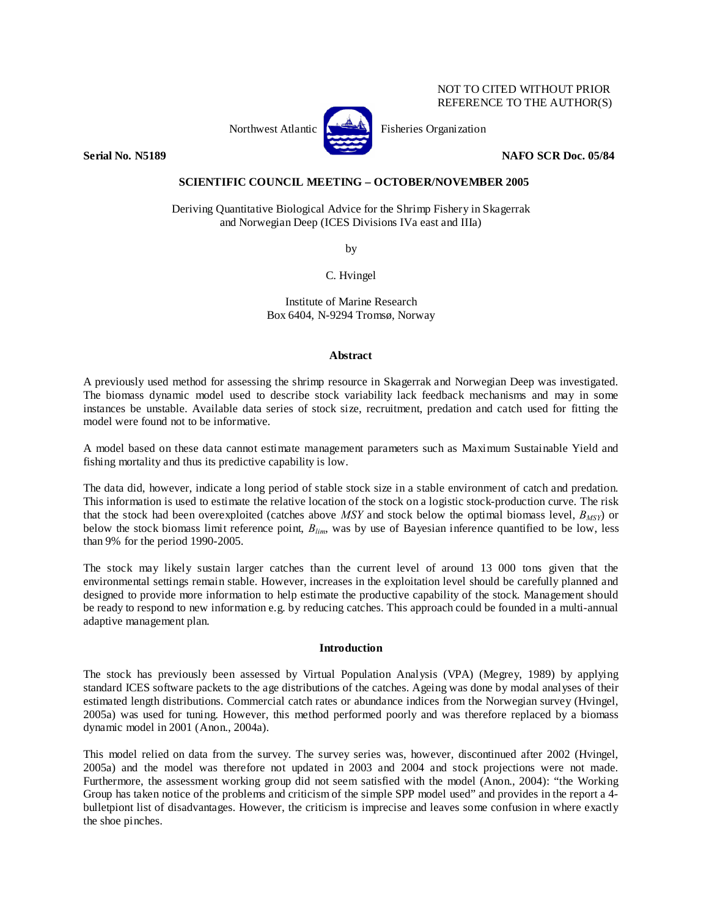# NOT TO CITED WITHOUT PRIOR REFERENCE TO THE AUTHOR(S)



Northwest Atlantic **No. 3. Expansion** Fisheries Organization

**Serial No. N5189 NAFO SCR Doc. 05/84** 

# **SCIENTIFIC COUNCIL MEETING – OCTOBER/NOVEMBER 2005**

Deriving Quantitative Biological Advice for the Shrimp Fishery in Skagerrak and Norwegian Deep (ICES Divisions IVa east and IIIa)

by

C. Hvingel

Institute of Marine Research Box 6404, N-9294 Tromsø, Norway

# **Abstract**

A previously used method for assessing the shrimp resource in Skagerrak and Norwegian Deep was investigated. The biomass dynamic model used to describe stock variability lack feedback mechanisms and may in some instances be unstable. Available data series of stock size, recruitment, predation and catch used for fitting the model were found not to be informative.

A model based on these data cannot estimate management parameters such as Maximum Sustainable Yield and fishing mortality and thus its predictive capability is low.

The data did, however, indicate a long period of stable stock size in a stable environment of catch and predation. This information is used to estimate the relative location of the stock on a logistic stock-production curve. The risk that the stock had been overexploited (catches above  $MSY$  and stock below the optimal biomass level,  $B_{MSY}$ ) or below the stock biomass limit reference point, *Blim*, was by use of Bayesian inference quantified to be low, less than 9% for the period 1990-2005.

The stock may likely sustain larger catches than the current level of around 13 000 tons given that the environmental settings remain stable. However, increases in the exploitation level should be carefully planned and designed to provide more information to help estimate the productive capability of the stock. Management should be ready to respond to new information e.g. by reducing catches. This approach could be founded in a multi-annual adaptive management plan.

## **Introduction**

The stock has previously been assessed by Virtual Population Analysis (VPA) (Megrey, 1989) by applying standard ICES software packets to the age distributions of the catches. Ageing was done by modal analyses of their estimated length distributions. Commercial catch rates or abundance indices from the Norwegian survey (Hvingel, 2005a) was used for tuning. However, this method performed poorly and was therefore replaced by a biomass dynamic model in 2001 (Anon., 2004a).

This model relied on data from the survey. The survey series was, however, discontinued after 2002 (Hvingel, 2005a) and the model was therefore not updated in 2003 and 2004 and stock projections were not made. Furthermore, the assessment working group did not seem satisfied with the model (Anon., 2004): "the Working Group has taken notice of the problems and criticism of the simple SPP model used" and provides in the report a 4 bulletpiont list of disadvantages. However, the criticism is imprecise and leaves some confusion in where exactly the shoe pinches.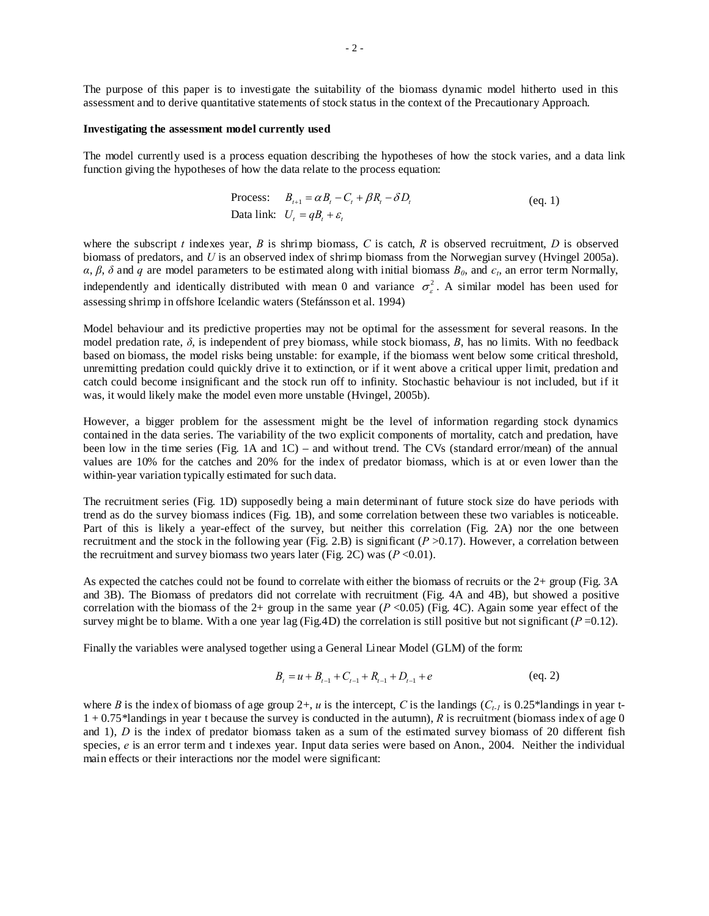The purpose of this paper is to investigate the suitability of the biomass dynamic model hitherto used in this assessment and to derive quantitative statements of stock status in the context of the Precautionary Approach.

#### **Investigating the assessment model currently used**

The model currently used is a process equation describing the hypotheses of how the stock varies, and a data link function giving the hypotheses of how the data relate to the process equation:

Process: 
$$
B_{t+1} = \alpha B_t - C_t + \beta R_t - \delta D_t
$$
 (eq. 1)  
Data link:  $U_t = qB_t + \varepsilon_t$ 

where the subscript *t* indexes year, *B* is shrimp biomass, *C* is catch, *R* is observed recruitment, *D* is observed biomass of predators, and *U* is an observed index of shrimp biomass from the Norwegian survey (Hvingel 2005a).  $\alpha$ ,  $\beta$ ,  $\delta$  and  $q$  are model parameters to be estimated along with initial biomass  $B_0$ , and  $\epsilon_t$ , an error term Normally, independently and identically distributed with mean 0 and variance  $\sigma_s^2$ . A similar model has been used for assessing shrimp in offshore Icelandic waters (Stefánsson et al. 1994)

Model behaviour and its predictive properties may not be optimal for the assessment for several reasons. In the model predation rate,  $\delta$ , is independent of prey biomass, while stock biomass,  $B$ , has no limits. With no feedback based on biomass, the model risks being unstable: for example, if the biomass went below some critical threshold, unremitting predation could quickly drive it to extinction, or if it went above a critical upper limit, predation and catch could become insignificant and the stock run off to infinity. Stochastic behaviour is not included, but if it was, it would likely make the model even more unstable (Hvingel, 2005b).

However, a bigger problem for the assessment might be the level of information regarding stock dynamics contained in the data series. The variability of the two explicit components of mortality, catch and predation, have been low in the time series (Fig. 1A and 1C) – and without trend. The CVs (standard error/mean) of the annual values are 10% for the catches and 20% for the index of predator biomass, which is at or even lower than the within-year variation typically estimated for such data.

The recruitment series (Fig. 1D) supposedly being a main determinant of future stock size do have periods with trend as do the survey biomass indices (Fig. 1B), and some correlation between these two variables is noticeable. Part of this is likely a year-effect of the survey, but neither this correlation (Fig. 2A) nor the one between recruitment and the stock in the following year (Fig. 2.B) is significant  $(P > 0.17)$ . However, a correlation between the recruitment and survey biomass two years later (Fig. 2C) was  $(P<0.01)$ .

As expected the catches could not be found to correlate with either the biomass of recruits or the 2+ group (Fig. 3A and 3B). The Biomass of predators did not correlate with recruitment (Fig. 4A and 4B), but showed a positive correlation with the biomass of the 2+ group in the same year  $(P \le 0.05)$  (Fig. 4C). Again some year effect of the survey might be to blame. With a one year lag (Fig.4D) the correlation is still positive but not significant ( $P = 0.12$ ).

Finally the variables were analysed together using a General Linear Model (GLM) of the form:

$$
B_t = u + B_{t-1} + C_{t-1} + R_{t-1} + D_{t-1} + e
$$
 (eq. 2)

where *B* is the index of biomass of age group 2+, *u* is the intercept, *C* is the landings  $(C_{t-1})$  is 0.25\*landings in year t-1 + 0.75\*landings in year t because the survey is conducted in the autumn), *R* is recruitment (biomass index of age 0 and 1), *D* is the index of predator biomass taken as a sum of the estimated survey biomass of 20 different fish species, *e* is an error term and t indexes year. Input data series were based on Anon., 2004. Neither the individual main effects or their interactions nor the model were significant: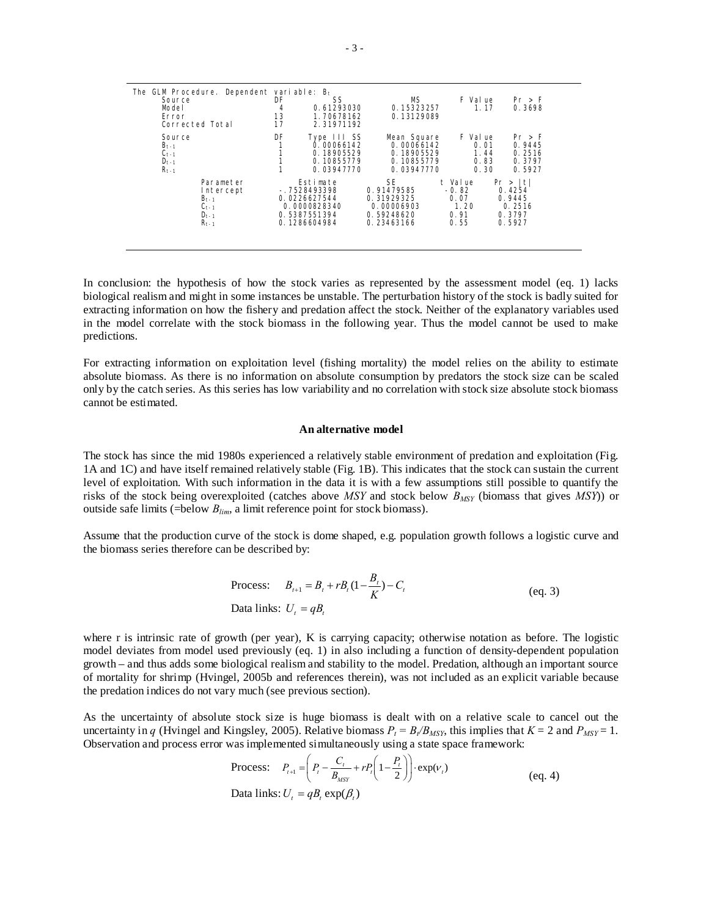| The GLM Procedure. Dependent variable: $B_t$<br>Source<br>Model<br>Error<br>Corrected Total | DF<br>4<br>13<br>17 | SS<br>0.61293030<br>1.70678162<br>2.31971192 | MS.<br>0.15323257<br>0.13129089 | F Val ue<br>1.17 | Pr > F<br>0.3698 |
|---------------------------------------------------------------------------------------------|---------------------|----------------------------------------------|---------------------------------|------------------|------------------|
| Source                                                                                      | DF                  | Type III SS                                  | Mean Square                     | F Val ue         | Pr > F           |
| $B_{t-1}$                                                                                   |                     | 0.00066142                                   | 0.00066142                      | 0.01             | 0.9445           |
| $C_{t-1}$                                                                                   |                     | 0.18905529                                   | 0.18905529                      | 1.44             | 0.2516           |
| $D_{t-1}$                                                                                   |                     | 0.10855779                                   | 0.10855779                      | 0.83             | 0.3797           |
| $R_{t-1}$                                                                                   |                     | 0.03947770                                   | 0.03947770                      | 0.30             | 0.5927           |
| Parameter                                                                                   | Estimate            |                                              | <b>SE</b>                       | t Value          | Pr >  t          |
| Intercept                                                                                   | $-.7528493398$      |                                              | 0.91479585                      | $-0.82$          | 0.4254           |
| $Bt-1$                                                                                      | 0.0226627544        |                                              | 0.31929325                      | 0.07             | 0.9445           |
| $C_{t-1}$                                                                                   | 0.0000828340        |                                              | 0.00006903                      | 1.20             | 0.2516           |
| $D_{t-1}$                                                                                   | 0.5387551394        |                                              | 0.59248620                      | 0.91             | 0.3797           |
| $R_{t-1}$                                                                                   | 0.1286604984        |                                              | 0.23463166                      | 0.55             | 0.5927           |

In conclusion: the hypothesis of how the stock varies as represented by the assessment model (eq. 1) lacks biological realism and might in some instances be unstable. The perturbation history of the stock is badly suited for extracting information on how the fishery and predation affect the stock. Neither of the explanatory variables used in the model correlate with the stock biomass in the following year. Thus the model cannot be used to make predictions.

For extracting information on exploitation level (fishing mortality) the model relies on the ability to estimate absolute biomass. As there is no information on absolute consumption by predators the stock size can be scaled only by the catch series. As this series has low variability and no correlation with stock size absolute stock biomass cannot be estimated.

### **An alternative model**

The stock has since the mid 1980s experienced a relatively stable environment of predation and exploitation (Fig. 1A and 1C) and have itself remained relatively stable (Fig. 1B). This indicates that the stock can sustain the current level of exploitation. With such information in the data it is with a few assumptions still possible to quantify the risks of the stock being overexploited (catches above *MSY* and stock below  $B_{MSY}$  (biomass that gives *MSY*)) or outside safe limits (=below *Blim*, a limit reference point for stock biomass).

Assume that the production curve of the stock is dome shaped, e.g. population growth follows a logistic curve and the biomass series therefore can be described by:

Process: 
$$
B_{t+1} = B_t + rB_t(1 - \frac{B_t}{K}) - C_t
$$
 (eq. 3)  
Data links:  $U_t = qB_t$ 

where r is intrinsic rate of growth (per year), K is carrying capacity; otherwise notation as before. The logistic model deviates from model used previously (eq. 1) in also including a function of density-dependent population growth – and thus adds some biological realism and stability to the model. Predation, although an important source of mortality for shrimp (Hvingel, 2005b and references therein), was not included as an explicit variable because the predation indices do not vary much (see previous section).

As the uncertainty of absolute stock size is huge biomass is dealt with on a relative scale to cancel out the uncertainty in *q* (Hvingel and Kingsley, 2005). Relative biomass  $P_t = B_t/B_{MSY}$ , this implies that  $K = 2$  and  $P_{MSY} = 1$ . Observation and process error was implemented simultaneously using a state space framework:

Process: 
$$
P_{t+1} = \left(P_t - \frac{C_t}{B_{MST}} + rP_t\left(1 - \frac{P_t}{2}\right)\right) \cdot \exp(\nu_t)
$$
  
Data links:  $U_t = qB_t \exp(\beta_t)$  (eq. 4)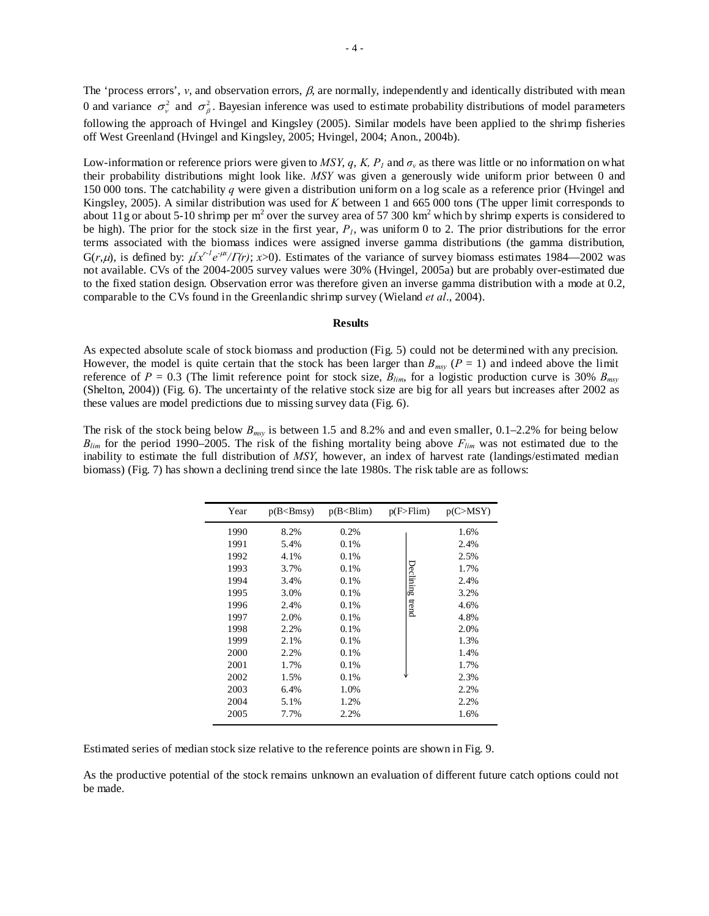The 'process errors',  $v$ , and observation errors,  $\beta$ , are normally, independently and identically distributed with mean 0 and variance  $\sigma_v^2$  and  $\sigma_\beta^2$ . Bayesian inference was used to estimate probability distributions of model parameters following the approach of Hvingel and Kingsley (2005). Similar models have been applied to the shrimp fisheries off West Greenland (Hvingel and Kingsley, 2005; Hvingel, 2004; Anon., 2004b).

Low-information or reference priors were given to *MSY*, *q*, *K*, *P<sub>1</sub>* and  $\sigma$ <sub>*v*</sub> as there was little or no information on what their probability distributions might look like. *MSY* was given a generously wide uniform prior between 0 and 150 000 tons. The catchability *q* were given a distribution uniform on a log scale as a reference prior (Hvingel and Kingsley, 2005). A similar distribution was used for *K* between 1 and 665 000 tons (The upper limit corresponds to about 11g or about 5-10 shrimp per  $m^2$  over the survey area of 57 300 km<sup>2</sup> which by shrimp experts is considered to be high). The prior for the stock size in the first year,  $P<sub>i</sub>$ , was uniform 0 to 2. The prior distributions for the error terms associated with the biomass indices were assigned inverse gamma distributions (the gamma distribution, G(*r*,  $\mu$ ), is defined by:  $\mu' x'^{-1} e^{-\mu x} / \Gamma(r)$ ;  $x > 0$ ). Estimates of the variance of survey biomass estimates 1984—2002 was not available. CVs of the 2004-2005 survey values were 30% (Hvingel, 2005a) but are probably over-estimated due to the fixed station design. Observation error was therefore given an inverse gamma distribution with a mode at 0.2, comparable to the CVs found in the Greenlandic shrimp survey (Wieland *et al*., 2004).

### **Results**

As expected absolute scale of stock biomass and production (Fig. 5) could not be determined with any precision. However, the model is quite certain that the stock has been larger than  $B_{msv}$  ( $P = 1$ ) and indeed above the limit reference of  $P = 0.3$  (The limit reference point for stock size,  $B_{lim}$ , for a logistic production curve is 30%  $B_{max}$ ) (Shelton, 2004)) (Fig. 6). The uncertainty of the relative stock size are big for all years but increases after 2002 as these values are model predictions due to missing survey data (Fig. 6).

The risk of the stock being below *Bmsy* is between 1.5 and 8.2% and and even smaller, 0.1–2.2% for being below *Blim* for the period 1990–2005. The risk of the fishing mortality being above *Flim* was not estimated due to the inability to estimate the full distribution of *MSY*, however, an index of harvest rate (landings/estimated median biomass) (Fig. 7) has shown a declining trend since the late 1980s. The risk table are as follows:

| Year | $p(B < B$ msy | p(B < Blim) | p(F > Film) | p(C>MSY) |
|------|---------------|-------------|-------------|----------|
| 1990 | 8.2%          | 0.2%        |             | 1.6%     |
| 1991 | 5.4%          | 0.1%        |             | 2.4%     |
| 1992 | 4.1%          | 0.1%        |             | 2.5%     |
| 1993 | 3.7%          | 0.1%        |             | 1.7%     |
| 1994 | 3.4%          | 0.1%        | Declining   | 2.4%     |
| 1995 | 3.0%          | 0.1%        |             | 3.2%     |
| 1996 | 2.4%          | 0.1%        | trend       | 4.6%     |
| 1997 | 2.0%          | 0.1%        |             | 4.8%     |
| 1998 | 2.2%          | 0.1%        |             | 2.0%     |
| 1999 | 2.1%          | 0.1%        |             | 1.3%     |
| 2000 | 2.2%          | 0.1%        |             | 1.4%     |
| 2001 | 1.7%          | 0.1%        |             | 1.7%     |
| 2002 | 1.5%          | 0.1%        |             | 2.3%     |
| 2003 | 6.4%          | 1.0%        |             | 2.2%     |
| 2004 | 5.1%          | 1.2%        |             | 2.2%     |
| 2005 | 7.7%          | 2.2%        |             | 1.6%     |
|      |               |             |             |          |

Estimated series of median stock size relative to the reference points are shown in Fig. 9.

As the productive potential of the stock remains unknown an evaluation of different future catch options could not be made.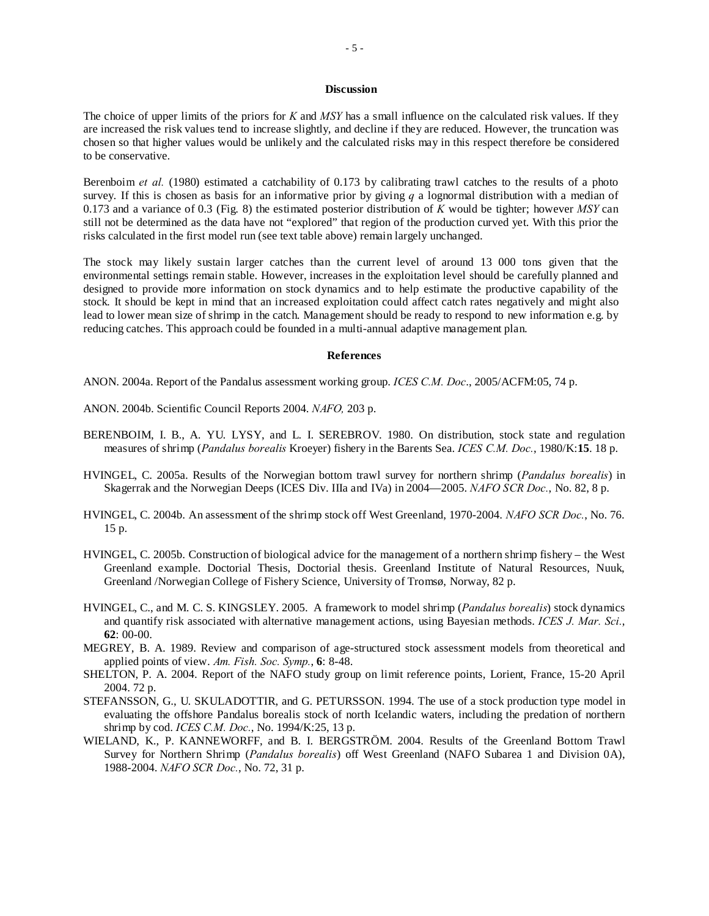# **Discussion**

The choice of upper limits of the priors for *K* and *MSY* has a small influence on the calculated risk values. If they are increased the risk values tend to increase slightly, and decline if they are reduced. However, the truncation was chosen so that higher values would be unlikely and the calculated risks may in this respect therefore be considered to be conservative.

Berenboim *et al.* (1980) estimated a catchability of 0.173 by calibrating trawl catches to the results of a photo survey. If this is chosen as basis for an informative prior by giving *q* a lognormal distribution with a median of 0.173 and a variance of 0.3 (Fig. 8) the estimated posterior distribution of *K* would be tighter; however *MSY* can still not be determined as the data have not "explored" that region of the production curved yet. With this prior the risks calculated in the first model run (see text table above) remain largely unchanged.

The stock may likely sustain larger catches than the current level of around 13 000 tons given that the environmental settings remain stable. However, increases in the exploitation level should be carefully planned and designed to provide more information on stock dynamics and to help estimate the productive capability of the stock. It should be kept in mind that an increased exploitation could affect catch rates negatively and might also lead to lower mean size of shrimp in the catch. Management should be ready to respond to new information e.g. by reducing catches. This approach could be founded in a multi-annual adaptive management plan.

### **References**

ANON. 2004a. Report of the Pandalus assessment working group. *ICES C.M. Doc*., 2005/ACFM:05, 74 p.

- ANON. 2004b. Scientific Council Reports 2004. *NAFO,* 203 p.
- BERENBOIM, I. B., A. YU. LYSY, and L. I. SEREBROV. 1980. On distribution, stock state and regulation measures of shrimp (*Pandalus borealis* Kroeyer) fishery in the Barents Sea. *ICES C.M. Doc.*, 1980/K:**15**. 18 p.
- HVINGEL, C. 2005a. Results of the Norwegian bottom trawl survey for northern shrimp (*Pandalus borealis*) in Skagerrak and the Norwegian Deeps (ICES Div. IIIa and IVa) in 2004—2005. *NAFO SCR Doc.*, No. 82, 8 p.
- HVINGEL, C. 2004b. An assessment of the shrimp stock off West Greenland, 1970-2004. *NAFO SCR Doc.*, No. 76. 15 p.
- HVINGEL, C. 2005b. Construction of biological advice for the management of a northern shrimp fishery the West Greenland example. Doctorial Thesis, Doctorial thesis. Greenland Institute of Natural Resources, Nuuk, Greenland /Norwegian College of Fishery Science, University of Tromsø, Norway, 82 p.
- HVINGEL, C., and M. C. S. KINGSLEY. 2005. A framework to model shrimp (*Pandalus borealis*) stock dynamics and quantify risk associated with alternative management actions, using Bayesian methods. *ICES J. Mar. Sci.*, **62**: 00-00.
- MEGREY, B. A. 1989. Review and comparison of age-structured stock assessment models from theoretical and applied points of view. *Am. Fish. Soc. Symp.*, **6**: 8-48.
- SHELTON, P. A. 2004. Report of the NAFO study group on limit reference points, Lorient, France, 15-20 April 2004. 72 p.
- STEFANSSON, G., U. SKULADOTTIR, and G. PETURSSON. 1994. The use of a stock production type model in evaluating the offshore Pandalus borealis stock of north Icelandic waters, including the predation of northern shrimp by cod. *ICES C.M. Doc.*, No. 1994/K:25, 13 p.
- WIELAND, K., P. KANNEWORFF, and B. I. BERGSTRÖM. 2004. Results of the Greenland Bottom Trawl Survey for Northern Shrimp (*Pandalus borealis*) off West Greenland (NAFO Subarea 1 and Division 0A), 1988-2004. *NAFO SCR Doc.*, No. 72, 31 p.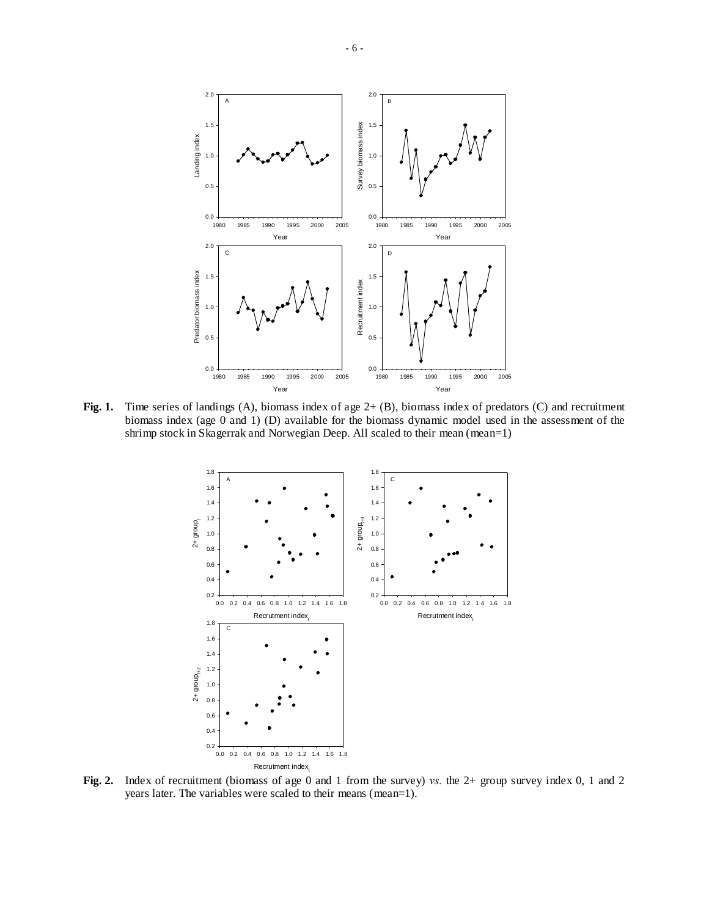

**Fig. 1.** Time series of landings (A), biomass index of age 2+ (B), biomass index of predators (C) and recruitment biomass index (age 0 and 1) (D) available for the biomass dynamic model used in the assessment of the shrimp stock in Skagerrak and Norwegian Deep. All scaled to their mean (mean=1)



**Fig. 2.** Index of recruitment (biomass of age 0 and 1 from the survey) *vs.* the 2+ group survey index 0, 1 and 2 years later. The variables were scaled to their means (mean=1).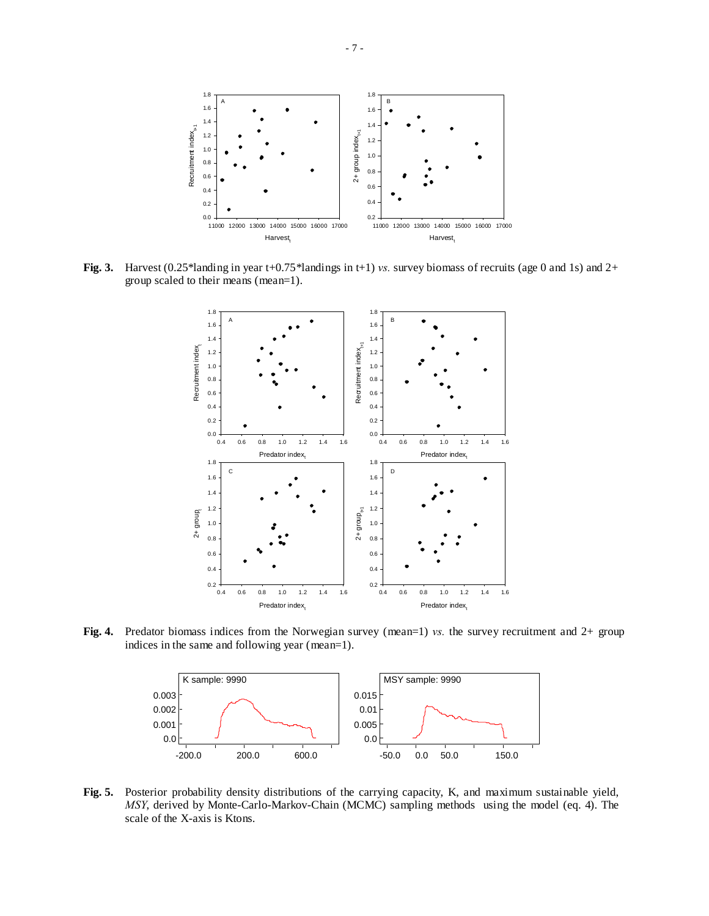

**Fig. 3.** Harvest (0.25\*landing in year t+0.75\*landings in t+1) *vs.* survey biomass of recruits (age 0 and 1s) and 2+ group scaled to their means (mean=1).



**Fig. 4.** Predator biomass indices from the Norwegian survey (mean=1) *vs.* the survey recruitment and 2+ group indices in the same and following year (mean=1).



**Fig. 5.** Posterior probability density distributions of the carrying capacity, K, and maximum sustainable yield, *MSY*, derived by Monte-Carlo-Markov-Chain (MCMC) sampling methods using the model (eq. 4). The scale of the X-axis is Ktons.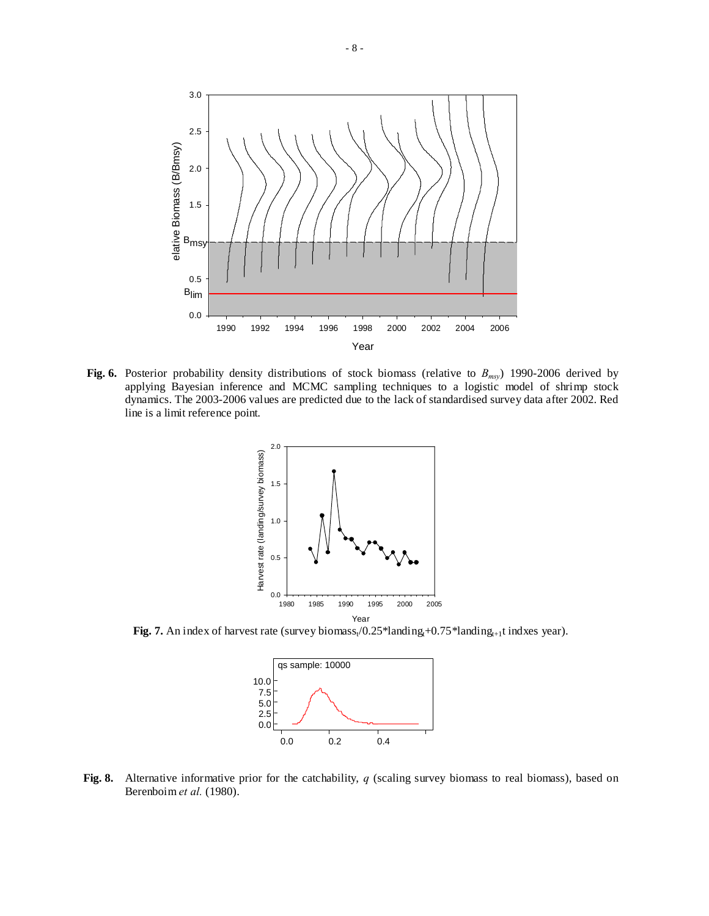

**Fig. 6.** Posterior probability density distributions of stock biomass (relative to *Bmsy*) 1990-2006 derived by applying Bayesian inference and MCMC sampling techniques to a logistic model of shrimp stock dynamics. The 2003-2006 values are predicted due to the lack of standardised survey data after 2002. Red line is a limit reference point.



**Fig. 7.** An index of harvest rate (survey biomass<sub>t</sub>/0.25\*landing<sub>t+0.75</sub>\*landing<sub>t+1</sub>t indxes year).



**Fig. 8.** Alternative informative prior for the catchability, *q* (scaling survey biomass to real biomass), based on Berenboim *et al.* (1980).